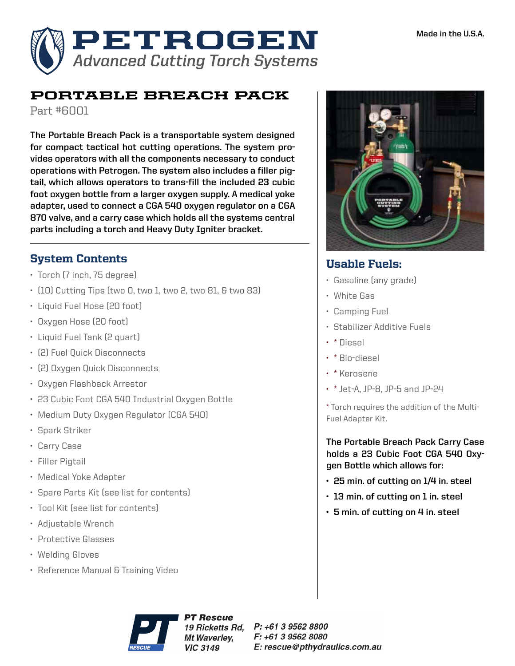

# PORTABLE BREACH PACK

Part #6001

**The Portable Breach Pack is a transportable system designed for compact tactical hot cutting operations. The system provides operators with all the components necessary to conduct operations with Petrogen. The system also includes a filler pigtail, which allows operators to trans-fill the included 23 cubic foot oxygen bottle from a larger oxygen supply. A medical yoke adapter, used to connect a CGA 540 oxygen regulator on a CGA 870 valve, and a carry case which holds all the systems central parts including a torch and Heavy Duty Igniter bracket.**

## System Contents

- Torch (7 inch, 75 degree)
- (10) Cutting Tips (two 0, two 1, two 2, two 81, & two 83)
- Liquid Fuel Hose (20 foot)
- Oxygen Hose (20 foot)
- Liquid Fuel Tank (2 quart)
- (2) Fuel Quick Disconnects
- (2) Oxygen Quick Disconnects
- Oxygen Flashback Arrestor
- 23 Cubic Foot CGA 540 Industrial Oxygen Bottle
- Medium Duty Oxygen Regulator (CGA 540)
- Spark Striker
- Carry Case
- Filler Pigtail
- Medical Yoke Adapter
- Spare Parts Kit (see list for contents)
- Tool Kit (see list for contents)
- Adjustable Wrench
- Protective Glasses
- Welding Gloves
- Reference Manual & Training Video



### Usable Fuels:

- Gasoline (any grade)
- White Gas
- Camping Fuel
- Stabilizer Additive Fuels
- \* Diesel
- \* Bio-diesel
- \* Kerosene
- \* Jet-A, JP-8, JP-5 and JP-24

\* Torch requires the addition of the Multi-Fuel Adapter Kit.

**The Portable Breach Pack Carry Case holds a 23 Cubic Foot CGA 540 Oxygen Bottle which allows for:**

- **• 25 min. of cutting on 1/4 in. steel**
- **• 13 min. of cutting on 1 in. steel**
- **• 5 min. of cutting on 4 in. steel**



**PT Rescue** 19 Ricketts Rd. Mt Waverley, **VIC 3149** 

 $P: +61395628800$ F: +61 3 9562 8080 E: rescue@pthydraulics.com.au